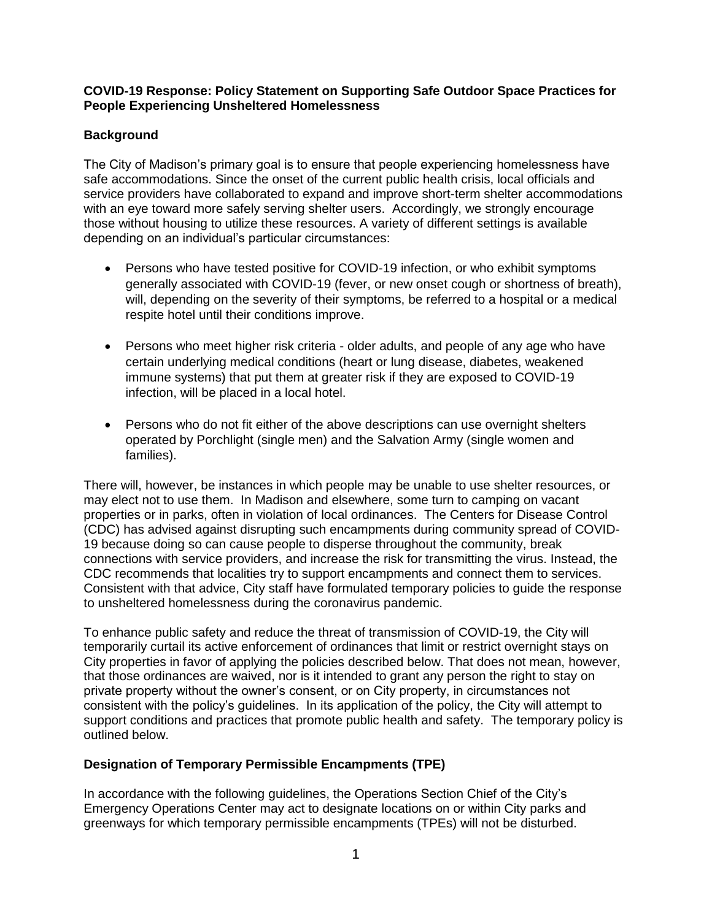#### **COVID-19 Response: Policy Statement on Supporting Safe Outdoor Space Practices for People Experiencing Unsheltered Homelessness**

# **Background**

The City of Madison's primary goal is to ensure that people experiencing homelessness have safe accommodations. Since the onset of the current public health crisis, local officials and service providers have collaborated to expand and improve short-term shelter accommodations with an eye toward more safely serving shelter users. Accordingly, we strongly encourage those without housing to utilize these resources. A variety of different settings is available depending on an individual's particular circumstances:

- Persons who have tested positive for COVID-19 infection, or who exhibit symptoms generally associated with COVID-19 (fever, or new onset cough or shortness of breath), will, depending on the severity of their symptoms, be referred to a hospital or a medical respite hotel until their conditions improve.
- Persons who meet higher risk criteria older adults, and people of any age who have certain underlying medical conditions (heart or lung disease, diabetes, weakened immune systems) that put them at greater risk if they are exposed to COVID-19 infection, will be placed in a local hotel.
- Persons who do not fit either of the above descriptions can use overnight shelters operated by Porchlight (single men) and the Salvation Army (single women and families).

There will, however, be instances in which people may be unable to use shelter resources, or may elect not to use them. In Madison and elsewhere, some turn to camping on vacant properties or in parks, often in violation of local ordinances. The Centers for Disease Control (CDC) has advised against disrupting such encampments during community spread of COVID-19 because doing so can cause people to disperse throughout the community, break connections with service providers, and increase the risk for transmitting the virus. Instead, the CDC recommends that localities try to support encampments and connect them to services. Consistent with that advice, City staff have formulated temporary policies to guide the response to unsheltered homelessness during the coronavirus pandemic.

To enhance public safety and reduce the threat of transmission of COVID-19, the City will temporarily curtail its active enforcement of ordinances that limit or restrict overnight stays on City properties in favor of applying the policies described below. That does not mean, however, that those ordinances are waived, nor is it intended to grant any person the right to stay on private property without the owner's consent, or on City property, in circumstances not consistent with the policy's guidelines. In its application of the policy, the City will attempt to support conditions and practices that promote public health and safety. The temporary policy is outlined below.

## **Designation of Temporary Permissible Encampments (TPE)**

In accordance with the following guidelines, the Operations Section Chief of the City's Emergency Operations Center may act to designate locations on or within City parks and greenways for which temporary permissible encampments (TPEs) will not be disturbed.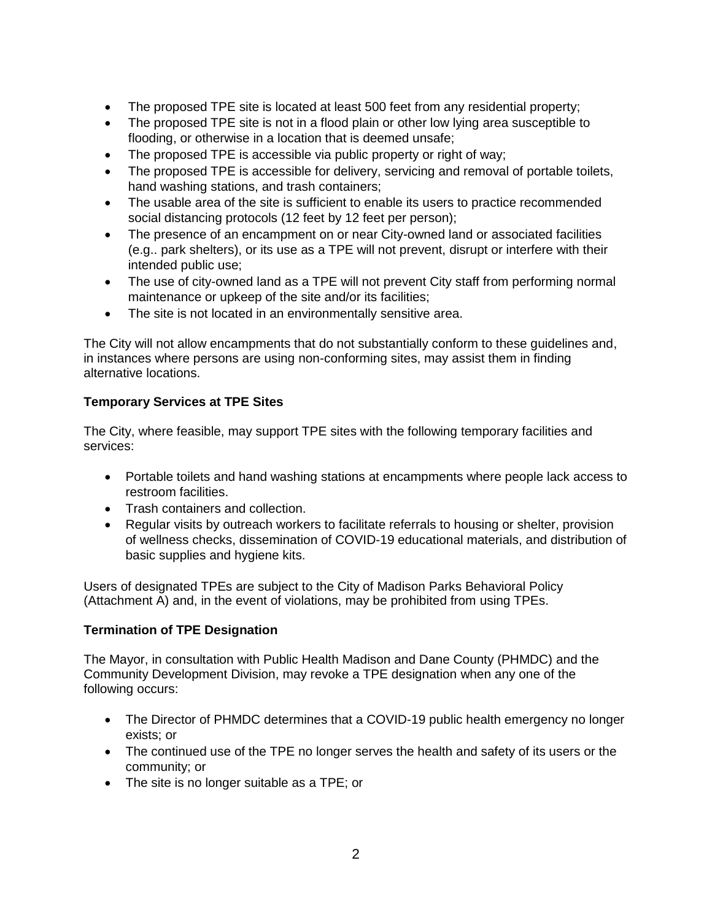- The proposed TPE site is located at least 500 feet from any residential property;
- The proposed TPE site is not in a flood plain or other low lying area susceptible to flooding, or otherwise in a location that is deemed unsafe;
- The proposed TPE is accessible via public property or right of way;
- The proposed TPE is accessible for delivery, servicing and removal of portable toilets, hand washing stations, and trash containers;
- The usable area of the site is sufficient to enable its users to practice recommended social distancing protocols (12 feet by 12 feet per person);
- The presence of an encampment on or near City-owned land or associated facilities (e.g.. park shelters), or its use as a TPE will not prevent, disrupt or interfere with their intended public use;
- The use of city-owned land as a TPE will not prevent City staff from performing normal maintenance or upkeep of the site and/or its facilities;
- The site is not located in an environmentally sensitive area.

The City will not allow encampments that do not substantially conform to these guidelines and, in instances where persons are using non-conforming sites, may assist them in finding alternative locations.

## **Temporary Services at TPE Sites**

The City, where feasible, may support TPE sites with the following temporary facilities and services:

- Portable toilets and hand washing stations at encampments where people lack access to restroom facilities.
- Trash containers and collection.
- Regular visits by outreach workers to facilitate referrals to housing or shelter, provision of wellness checks, dissemination of COVID-19 educational materials, and distribution of basic supplies and hygiene kits.

Users of designated TPEs are subject to the City of Madison Parks Behavioral Policy (Attachment A) and, in the event of violations, may be prohibited from using TPEs.

## **Termination of TPE Designation**

The Mayor, in consultation with Public Health Madison and Dane County (PHMDC) and the Community Development Division, may revoke a TPE designation when any one of the following occurs:

- The Director of PHMDC determines that a COVID-19 public health emergency no longer exists; or
- The continued use of the TPE no longer serves the health and safety of its users or the community; or
- The site is no longer suitable as a TPE; or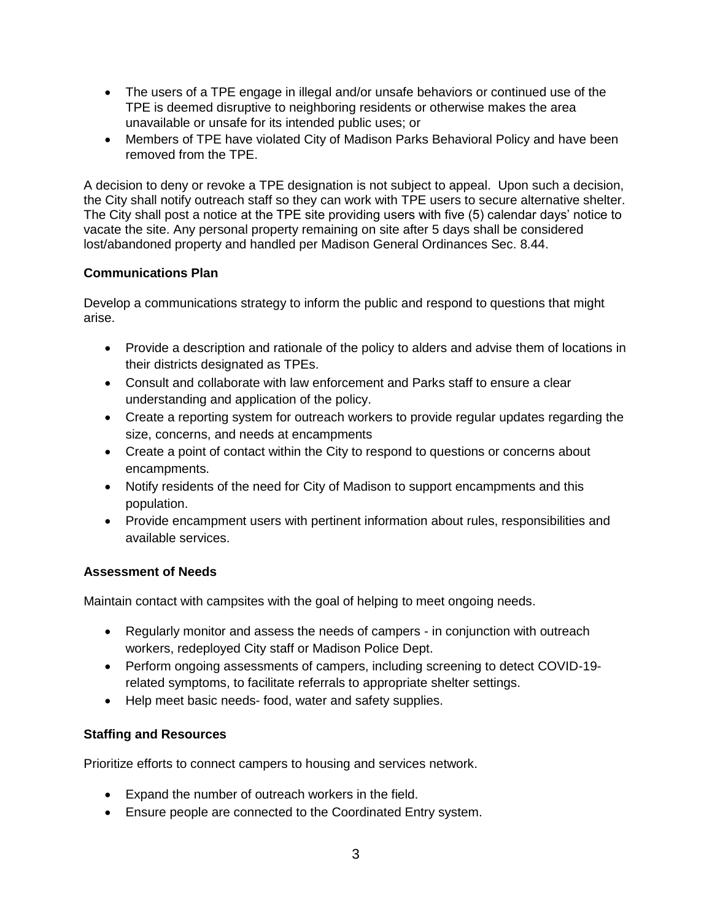- The users of a TPE engage in illegal and/or unsafe behaviors or continued use of the TPE is deemed disruptive to neighboring residents or otherwise makes the area unavailable or unsafe for its intended public uses; or
- Members of TPE have violated City of Madison Parks Behavioral Policy and have been removed from the TPE.

A decision to deny or revoke a TPE designation is not subject to appeal. Upon such a decision, the City shall notify outreach staff so they can work with TPE users to secure alternative shelter. The City shall post a notice at the TPE site providing users with five (5) calendar days' notice to vacate the site. Any personal property remaining on site after 5 days shall be considered lost/abandoned property and handled per Madison General Ordinances Sec. 8.44.

#### **Communications Plan**

Develop a communications strategy to inform the public and respond to questions that might arise.

- Provide a description and rationale of the policy to alders and advise them of locations in their districts designated as TPEs.
- Consult and collaborate with law enforcement and Parks staff to ensure a clear understanding and application of the policy.
- Create a reporting system for outreach workers to provide regular updates regarding the size, concerns, and needs at encampments
- Create a point of contact within the City to respond to questions or concerns about encampments.
- Notify residents of the need for City of Madison to support encampments and this population.
- Provide encampment users with pertinent information about rules, responsibilities and available services.

## **Assessment of Needs**

Maintain contact with campsites with the goal of helping to meet ongoing needs.

- Regularly monitor and assess the needs of campers in conjunction with outreach workers, redeployed City staff or Madison Police Dept.
- Perform ongoing assessments of campers, including screening to detect COVID-19 related symptoms, to facilitate referrals to appropriate shelter settings.
- Help meet basic needs- food, water and safety supplies.

## **Staffing and Resources**

Prioritize efforts to connect campers to housing and services network.

- Expand the number of outreach workers in the field.
- Ensure people are connected to the Coordinated Entry system.